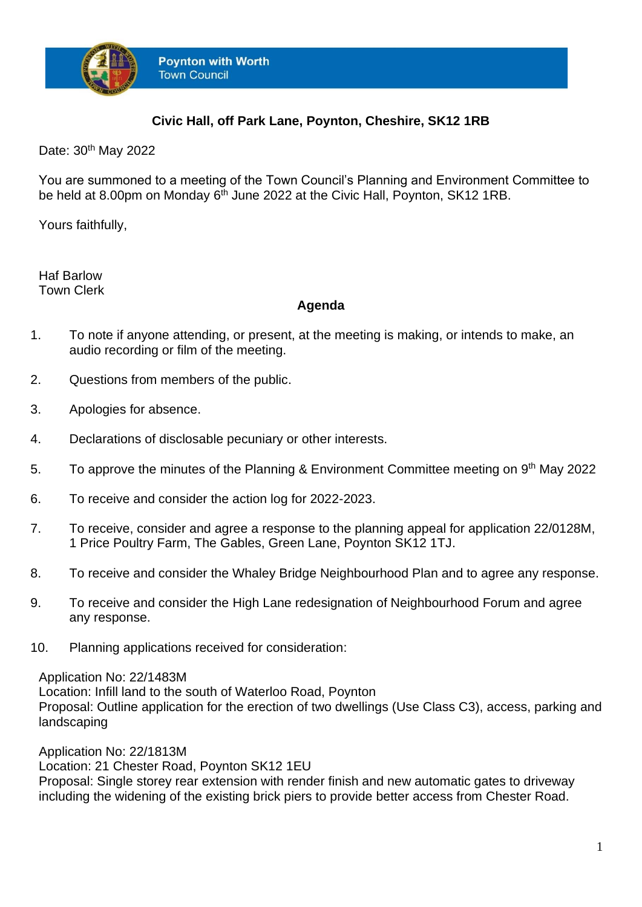

## **Civic Hall, off Park Lane, Poynton, Cheshire, SK12 1RB**

Date: 30<sup>th</sup> May 2022

You are summoned to a meeting of the Town Council's Planning and Environment Committee to be held at 8.00pm on Monday 6<sup>th</sup> June 2022 at the Civic Hall, Poynton, SK12 1RB.

Yours faithfully,

Haf Barlow Town Clerk

## **Agenda**

- 1. To note if anyone attending, or present, at the meeting is making, or intends to make, an audio recording or film of the meeting.
- 2. Questions from members of the public.
- 3. Apologies for absence.
- 4. Declarations of disclosable pecuniary or other interests.
- 5. To approve the minutes of the Planning & Environment Committee meeting on 9<sup>th</sup> May 2022
- 6. To receive and consider the action log for 2022-2023.
- 7. To receive, consider and agree a response to the planning appeal for application 22/0128M, 1 Price Poultry Farm, The Gables, Green Lane, Poynton SK12 1TJ.
- 8. To receive and consider the Whaley Bridge Neighbourhood Plan and to agree any response.
- 9. To receive and consider the High Lane redesignation of Neighbourhood Forum and agree any response.
- 10. Planning applications received for consideration:

Application No: 22/1483M

Location: Infill land to the south of Waterloo Road, Poynton Proposal: Outline application for the erection of two dwellings (Use Class C3), access, parking and landscaping

Application No: 22/1813M Location: 21 Chester Road, Poynton SK12 1EU Proposal: Single storey rear extension with render finish and new automatic gates to driveway including the widening of the existing brick piers to provide better access from Chester Road.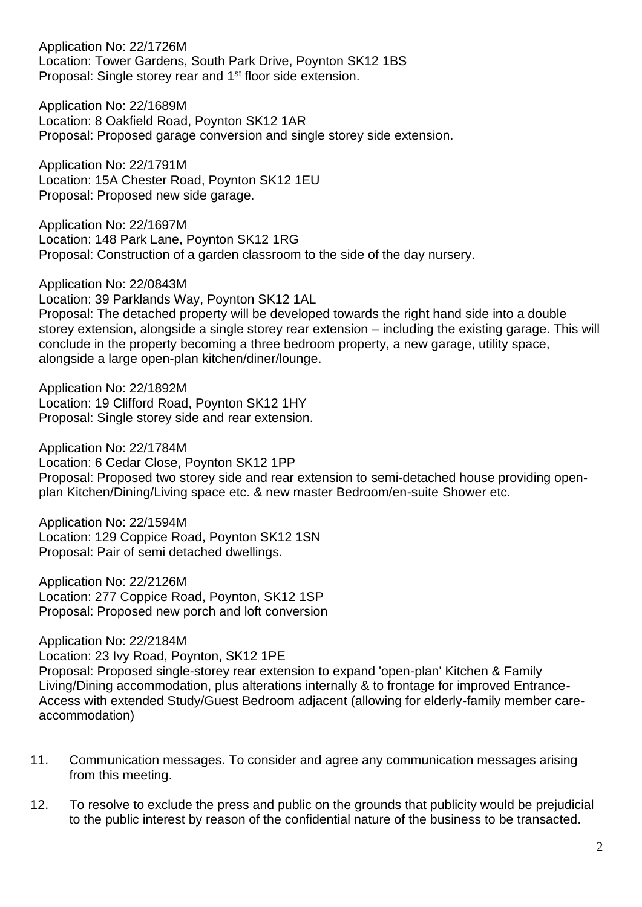Application No: 22/1726M Location: Tower Gardens, South Park Drive, Poynton SK12 1BS Proposal: Single storey rear and 1<sup>st</sup> floor side extension.

Application No: 22/1689M Location: 8 Oakfield Road, Poynton SK12 1AR Proposal: Proposed garage conversion and single storey side extension.

Application No: 22/1791M Location: 15A Chester Road, Poynton SK12 1EU Proposal: Proposed new side garage.

Application No: 22/1697M Location: 148 Park Lane, Poynton SK12 1RG Proposal: Construction of a garden classroom to the side of the day nursery.

Application No: 22/0843M Location: 39 Parklands Way, Poynton SK12 1AL Proposal: The detached property will be developed towards the right hand side into a double storey extension, alongside a single storey rear extension – including the existing garage. This will conclude in the property becoming a three bedroom property, a new garage, utility space, alongside a large open-plan kitchen/diner/lounge.

Application No: 22/1892M Location: 19 Clifford Road, Poynton SK12 1HY Proposal: Single storey side and rear extension.

Application No: 22/1784M Location: 6 Cedar Close, Poynton SK12 1PP Proposal: Proposed two storey side and rear extension to semi-detached house providing openplan Kitchen/Dining/Living space etc. & new master Bedroom/en-suite Shower etc.

Application No: 22/1594M Location: 129 Coppice Road, Poynton SK12 1SN Proposal: Pair of semi detached dwellings.

Application No: 22/2126M Location: 277 Coppice Road, Poynton, SK12 1SP Proposal: Proposed new porch and loft conversion

Application No: 22/2184M Location: 23 Ivy Road, Poynton, SK12 1PE Proposal: Proposed single-storey rear extension to expand 'open-plan' Kitchen & Family Living/Dining accommodation, plus alterations internally & to frontage for improved Entrance-Access with extended Study/Guest Bedroom adjacent (allowing for elderly-family member careaccommodation)

- 11. Communication messages. To consider and agree any communication messages arising from this meeting.
- 12. To resolve to exclude the press and public on the grounds that publicity would be prejudicial to the public interest by reason of the confidential nature of the business to be transacted.